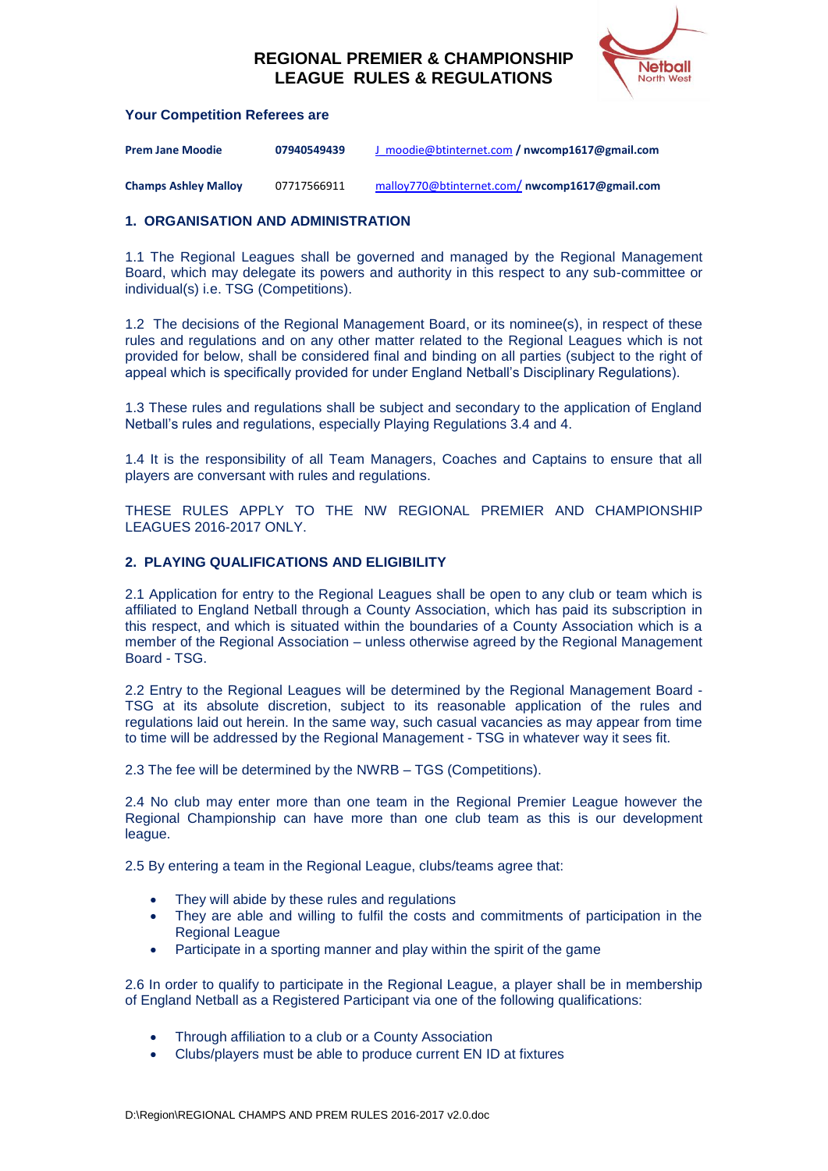

#### **Your Competition Referees are**

| <b>Prem Jane Moodie</b>     | 07940549439 | J moodie@btinternet.com / nwcomp1617@gmail.com |
|-----------------------------|-------------|------------------------------------------------|
| <b>Champs Ashley Malloy</b> | 07717566911 | malloy770@btinternet.com/nwcomp1617@gmail.com  |

#### **1. ORGANISATION AND ADMINISTRATION**

1.1 The Regional Leagues shall be governed and managed by the Regional Management Board, which may delegate its powers and authority in this respect to any sub-committee or individual(s) i.e. TSG (Competitions).

1.2 The decisions of the Regional Management Board, or its nominee(s), in respect of these rules and regulations and on any other matter related to the Regional Leagues which is not provided for below, shall be considered final and binding on all parties (subject to the right of appeal which is specifically provided for under England Netball's Disciplinary Regulations).

1.3 These rules and regulations shall be subject and secondary to the application of England Netball's rules and regulations, especially Playing Regulations 3.4 and 4.

1.4 It is the responsibility of all Team Managers, Coaches and Captains to ensure that all players are conversant with rules and regulations.

THESE RULES APPLY TO THE NW REGIONAL PREMIER AND CHAMPIONSHIP LEAGUES 2016-2017 ONLY.

#### **2. PLAYING QUALIFICATIONS AND ELIGIBILITY**

2.1 Application for entry to the Regional Leagues shall be open to any club or team which is affiliated to England Netball through a County Association, which has paid its subscription in this respect, and which is situated within the boundaries of a County Association which is a member of the Regional Association – unless otherwise agreed by the Regional Management Board - TSG.

2.2 Entry to the Regional Leagues will be determined by the Regional Management Board - TSG at its absolute discretion, subject to its reasonable application of the rules and regulations laid out herein. In the same way, such casual vacancies as may appear from time to time will be addressed by the Regional Management - TSG in whatever way it sees fit.

2.3 The fee will be determined by the NWRB – TGS (Competitions).

2.4 No club may enter more than one team in the Regional Premier League however the Regional Championship can have more than one club team as this is our development league.

2.5 By entering a team in the Regional League, clubs/teams agree that:

- They will abide by these rules and regulations
- They are able and willing to fulfil the costs and commitments of participation in the Regional League
- Participate in a sporting manner and play within the spirit of the game

2.6 In order to qualify to participate in the Regional League, a player shall be in membership of England Netball as a Registered Participant via one of the following qualifications:

- Through affiliation to a club or a County Association
- Clubs/players must be able to produce current EN ID at fixtures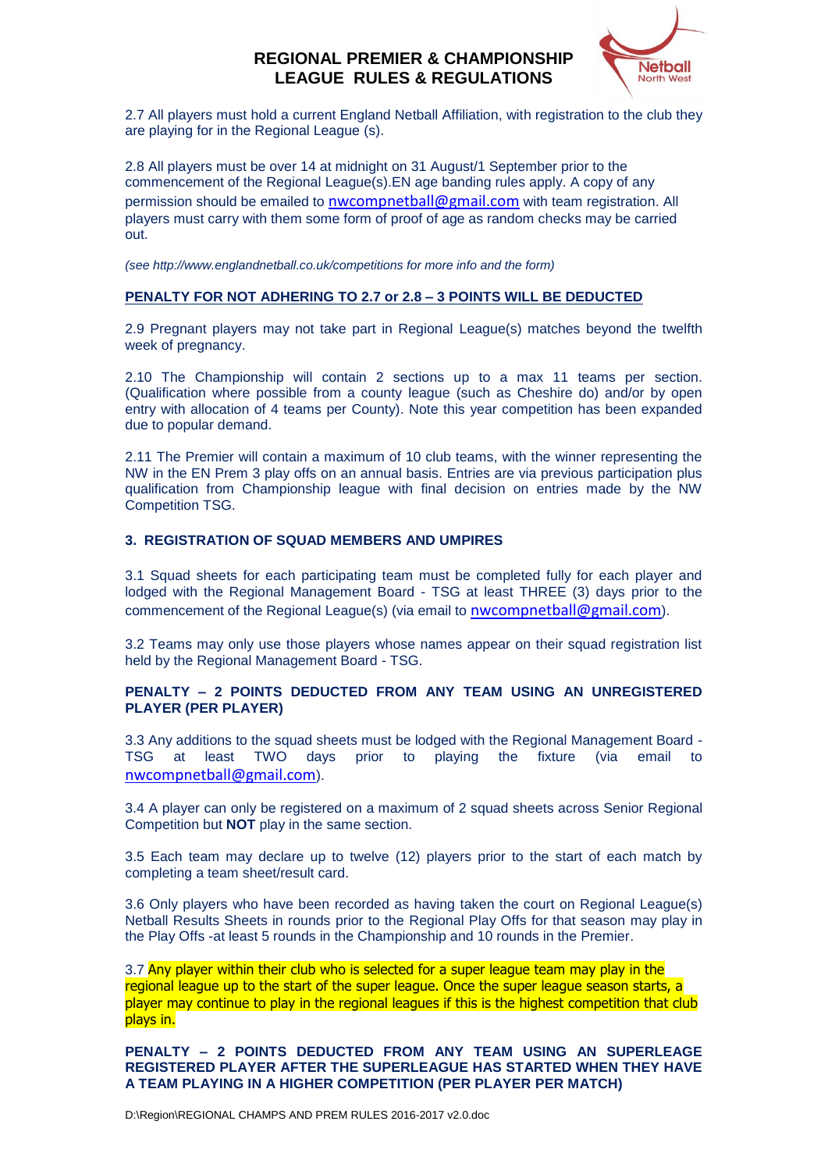

2.7 All players must hold a current England Netball Affiliation, with registration to the club they are playing for in the Regional League (s).

2.8 All players must be over 14 at midnight on 31 August/1 September prior to the commencement of the Regional League(s).EN age banding rules apply. A copy of any permission should be emailed to [nwcompnetball@gmail.com](mailto:nwcompnetball@gmail.com) with team registration. All players must carry with them some form of proof of age as random checks may be carried out.

*(see http://www.englandnetball.co.uk/competitions for more info and the form)*

## **PENALTY FOR NOT ADHERING TO 2.7 or 2.8 – 3 POINTS WILL BE DEDUCTED**

2.9 Pregnant players may not take part in Regional League(s) matches beyond the twelfth week of pregnancy.

2.10 The Championship will contain 2 sections up to a max 11 teams per section. (Qualification where possible from a county league (such as Cheshire do) and/or by open entry with allocation of 4 teams per County). Note this year competition has been expanded due to popular demand.

2.11 The Premier will contain a maximum of 10 club teams, with the winner representing the NW in the EN Prem 3 play offs on an annual basis. Entries are via previous participation plus qualification from Championship league with final decision on entries made by the NW Competition TSG.

### **3. REGISTRATION OF SQUAD MEMBERS AND UMPIRES**

3.1 Squad sheets for each participating team must be completed fully for each player and lodged with the Regional Management Board - TSG at least THREE (3) days prior to the commencement of the Regional League(s) (via email to **[nwcompnetball@gmail.com](mailto:nwcompnetball@gmail.com))**.

3.2 Teams may only use those players whose names appear on their squad registration list held by the Regional Management Board - TSG.

## **PENALTY – 2 POINTS DEDUCTED FROM ANY TEAM USING AN UNREGISTERED PLAYER (PER PLAYER)**

3.3 Any additions to the squad sheets must be lodged with the Regional Management Board - TSG at least TWO days prior to playing the fixture (via email to [nwcompnetball@gmail.com](mailto:nwcompnetball@gmail.com)).

3.4 A player can only be registered on a maximum of 2 squad sheets across Senior Regional Competition but **NOT** play in the same section.

3.5 Each team may declare up to twelve (12) players prior to the start of each match by completing a team sheet/result card.

3.6 Only players who have been recorded as having taken the court on Regional League(s) Netball Results Sheets in rounds prior to the Regional Play Offs for that season may play in the Play Offs -at least 5 rounds in the Championship and 10 rounds in the Premier.

3.7 Any player within their club who is selected for a super league team may play in the regional league up to the start of the super league. Once the super league season starts, a player may continue to play in the regional leagues if this is the highest competition that club plays in.

**PENALTY – 2 POINTS DEDUCTED FROM ANY TEAM USING AN SUPERLEAGE REGISTERED PLAYER AFTER THE SUPERLEAGUE HAS STARTED WHEN THEY HAVE A TEAM PLAYING IN A HIGHER COMPETITION (PER PLAYER PER MATCH)**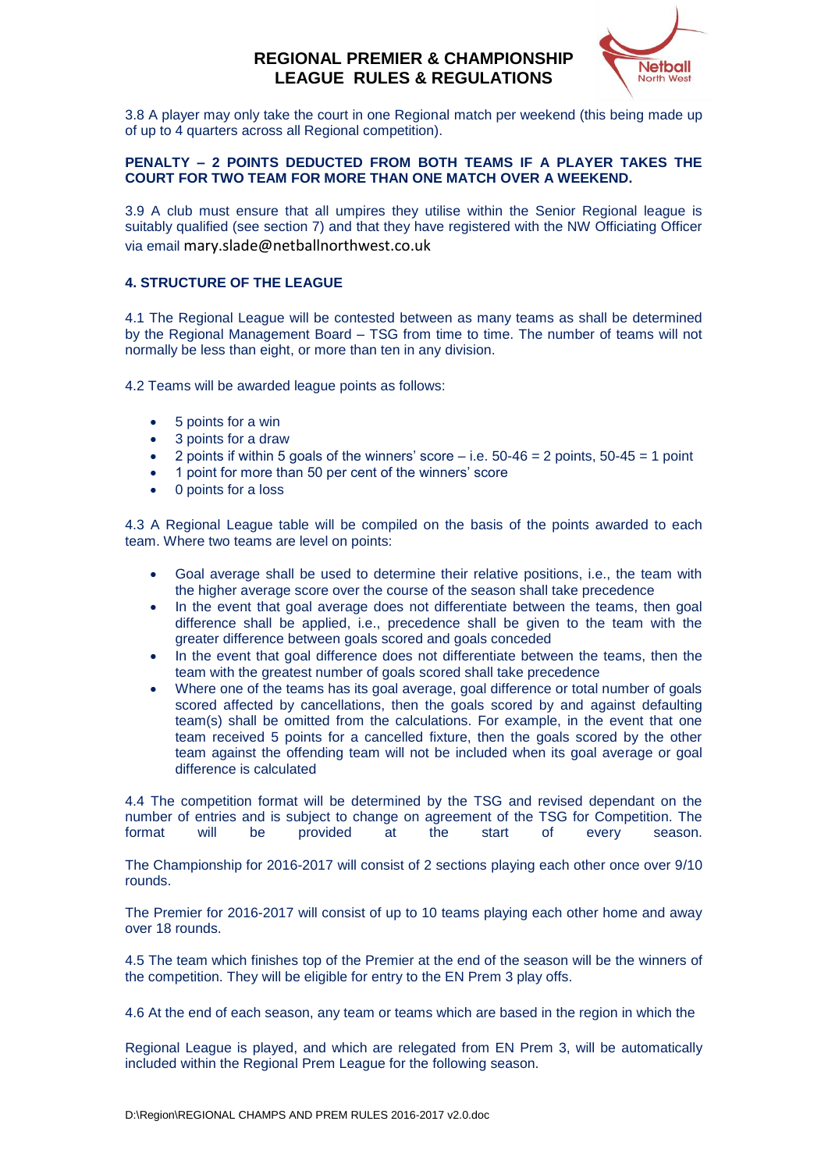

3.8 A player may only take the court in one Regional match per weekend (this being made up of up to 4 quarters across all Regional competition).

#### **PENALTY – 2 POINTS DEDUCTED FROM BOTH TEAMS IF A PLAYER TAKES THE COURT FOR TWO TEAM FOR MORE THAN ONE MATCH OVER A WEEKEND.**

3.9 A club must ensure that all umpires they utilise within the Senior Regional league is suitably qualified (see section 7) and that they have registered with the NW Officiating Officer via email mary.slade@netballnorthwest.co.uk

## **4. STRUCTURE OF THE LEAGUE**

4.1 The Regional League will be contested between as many teams as shall be determined by the Regional Management Board – TSG from time to time. The number of teams will not normally be less than eight, or more than ten in any division.

4.2 Teams will be awarded league points as follows:

- 5 points for a win
- 3 points for a draw
- 2 points if within 5 goals of the winners' score  $-$  i.e. 50-46 = 2 points, 50-45 = 1 point
- 1 point for more than 50 per cent of the winners' score
- 0 points for a loss

4.3 A Regional League table will be compiled on the basis of the points awarded to each team. Where two teams are level on points:

- Goal average shall be used to determine their relative positions, i.e., the team with the higher average score over the course of the season shall take precedence
- In the event that goal average does not differentiate between the teams, then goal difference shall be applied, i.e., precedence shall be given to the team with the greater difference between goals scored and goals conceded
- In the event that goal difference does not differentiate between the teams, then the team with the greatest number of goals scored shall take precedence
- Where one of the teams has its goal average, goal difference or total number of goals scored affected by cancellations, then the goals scored by and against defaulting team(s) shall be omitted from the calculations. For example, in the event that one team received 5 points for a cancelled fixture, then the goals scored by the other team against the offending team will not be included when its goal average or goal difference is calculated

4.4 The competition format will be determined by the TSG and revised dependant on the number of entries and is subject to change on agreement of the TSG for Competition. The format will be provided at the start of every season.

The Championship for 2016-2017 will consist of 2 sections playing each other once over 9/10 rounds.

The Premier for 2016-2017 will consist of up to 10 teams playing each other home and away over 18 rounds.

4.5 The team which finishes top of the Premier at the end of the season will be the winners of the competition. They will be eligible for entry to the EN Prem 3 play offs.

4.6 At the end of each season, any team or teams which are based in the region in which the

Regional League is played, and which are relegated from EN Prem 3, will be automatically included within the Regional Prem League for the following season.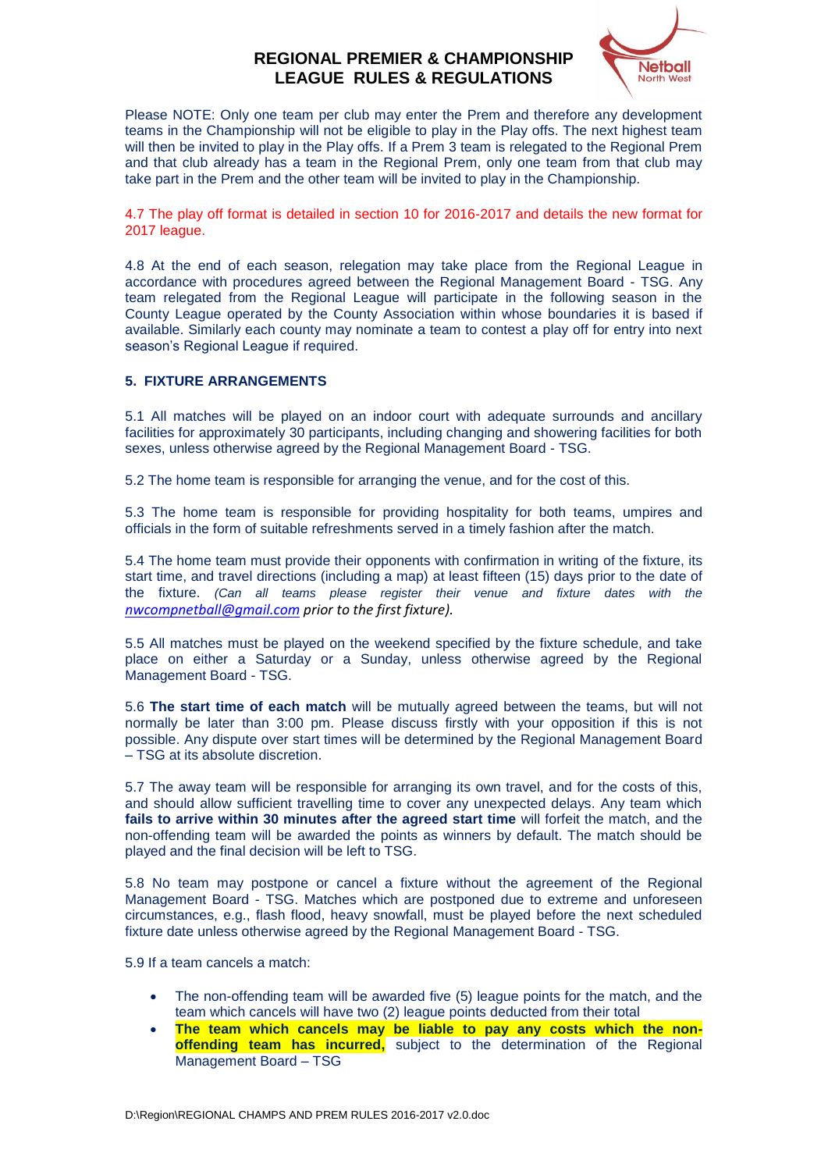

Please NOTE: Only one team per club may enter the Prem and therefore any development teams in the Championship will not be eligible to play in the Play offs. The next highest team will then be invited to play in the Play offs. If a Prem 3 team is relegated to the Regional Prem and that club already has a team in the Regional Prem, only one team from that club may take part in the Prem and the other team will be invited to play in the Championship.

4.7 The play off format is detailed in section 10 for 2016-2017 and details the new format for 2017 league.

4.8 At the end of each season, relegation may take place from the Regional League in accordance with procedures agreed between the Regional Management Board - TSG. Any team relegated from the Regional League will participate in the following season in the County League operated by the County Association within whose boundaries it is based if available. Similarly each county may nominate a team to contest a play off for entry into next season's Regional League if required.

#### **5. FIXTURE ARRANGEMENTS**

5.1 All matches will be played on an indoor court with adequate surrounds and ancillary facilities for approximately 30 participants, including changing and showering facilities for both sexes, unless otherwise agreed by the Regional Management Board - TSG.

5.2 The home team is responsible for arranging the venue, and for the cost of this.

5.3 The home team is responsible for providing hospitality for both teams, umpires and officials in the form of suitable refreshments served in a timely fashion after the match.

5.4 The home team must provide their opponents with confirmation in writing of the fixture, its start time, and travel directions (including a map) at least fifteen (15) days prior to the date of the fixture. *(Can all teams please register their venue and fixture dates with the [nwcompnetball@gmail.com](mailto:nwcompnetball@gmail.com) prior to the first fixture).*

5.5 All matches must be played on the weekend specified by the fixture schedule, and take place on either a Saturday or a Sunday, unless otherwise agreed by the Regional Management Board - TSG.

5.6 **The start time of each match** will be mutually agreed between the teams, but will not normally be later than 3:00 pm. Please discuss firstly with your opposition if this is not possible. Any dispute over start times will be determined by the Regional Management Board – TSG at its absolute discretion.

5.7 The away team will be responsible for arranging its own travel, and for the costs of this, and should allow sufficient travelling time to cover any unexpected delays. Any team which **fails to arrive within 30 minutes after the agreed start time** will forfeit the match, and the non-offending team will be awarded the points as winners by default. The match should be played and the final decision will be left to TSG.

5.8 No team may postpone or cancel a fixture without the agreement of the Regional Management Board - TSG. Matches which are postponed due to extreme and unforeseen circumstances, e.g., flash flood, heavy snowfall, must be played before the next scheduled fixture date unless otherwise agreed by the Regional Management Board - TSG.

5.9 If a team cancels a match:

- The non-offending team will be awarded five (5) league points for the match, and the team which cancels will have two (2) league points deducted from their total
- **The team which cancels may be liable to pay any costs which the nonoffending team has incurred,** subject to the determination of the Regional Management Board – TSG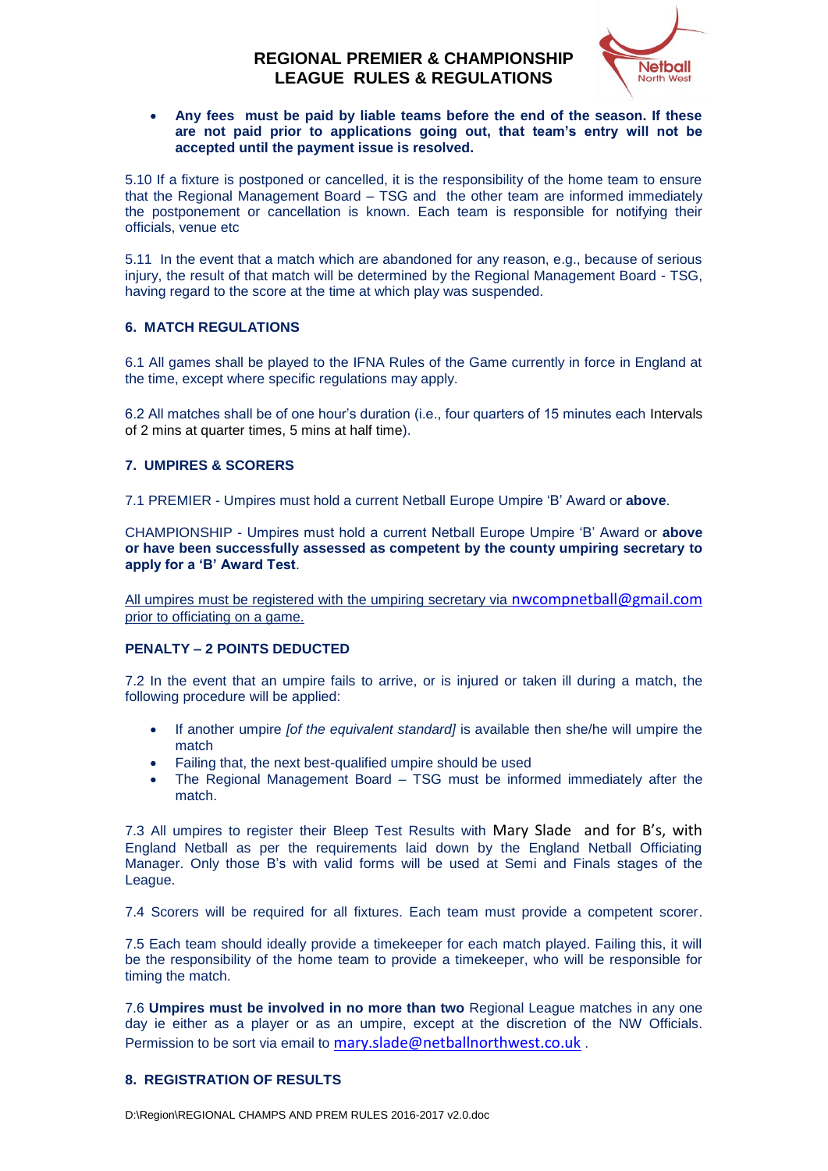

#### **Any fees must be paid by liable teams before the end of the season. If these are not paid prior to applications going out, that team's entry will not be accepted until the payment issue is resolved.**

5.10 If a fixture is postponed or cancelled, it is the responsibility of the home team to ensure that the Regional Management Board – TSG and the other team are informed immediately the postponement or cancellation is known. Each team is responsible for notifying their officials, venue etc

5.11 In the event that a match which are abandoned for any reason, e.g., because of serious injury, the result of that match will be determined by the Regional Management Board - TSG, having regard to the score at the time at which play was suspended.

## **6. MATCH REGULATIONS**

6.1 All games shall be played to the IFNA Rules of the Game currently in force in England at the time, except where specific regulations may apply.

6.2 All matches shall be of one hour's duration (i.e., four quarters of 15 minutes each Intervals of 2 mins at quarter times, 5 mins at half time).

## **7. UMPIRES & SCORERS**

7.1 PREMIER - Umpires must hold a current Netball Europe Umpire 'B' Award or **above**.

CHAMPIONSHIP - Umpires must hold a current Netball Europe Umpire 'B' Award or **above or have been successfully assessed as competent by the county umpiring secretary to apply for a 'B' Award Test**.

All umpires must be registered with the umpiring secretary via [nwcompnetball@gmail.com](mailto:nwcompnetball@gmail.com) prior to officiating on a game.

## **PENALTY – 2 POINTS DEDUCTED**

7.2 In the event that an umpire fails to arrive, or is injured or taken ill during a match, the following procedure will be applied:

- If another umpire *[of the equivalent standard]* is available then she/he will umpire the match
- Failing that, the next best-qualified umpire should be used
- The Regional Management Board TSG must be informed immediately after the match.

7.3 All umpires to register their Bleep Test Results with Mary Slade and for B's, with England Netball as per the requirements laid down by the England Netball Officiating Manager. Only those B's with valid forms will be used at Semi and Finals stages of the League.

7.4 Scorers will be required for all fixtures. Each team must provide a competent scorer.

7.5 Each team should ideally provide a timekeeper for each match played. Failing this, it will be the responsibility of the home team to provide a timekeeper, who will be responsible for timing the match.

7.6 **Umpires must be involved in no more than two** Regional League matches in any one day ie either as a player or as an umpire, except at the discretion of the NW Officials. Permission to be sort via email to [mary.slade@netballnorthwest.co.uk](mailto:mary.slade@netballnorthwest.co.uk).

## **8. REGISTRATION OF RESULTS**

D:\Region\REGIONAL CHAMPS AND PREM RULES 2016-2017 v2.0.doc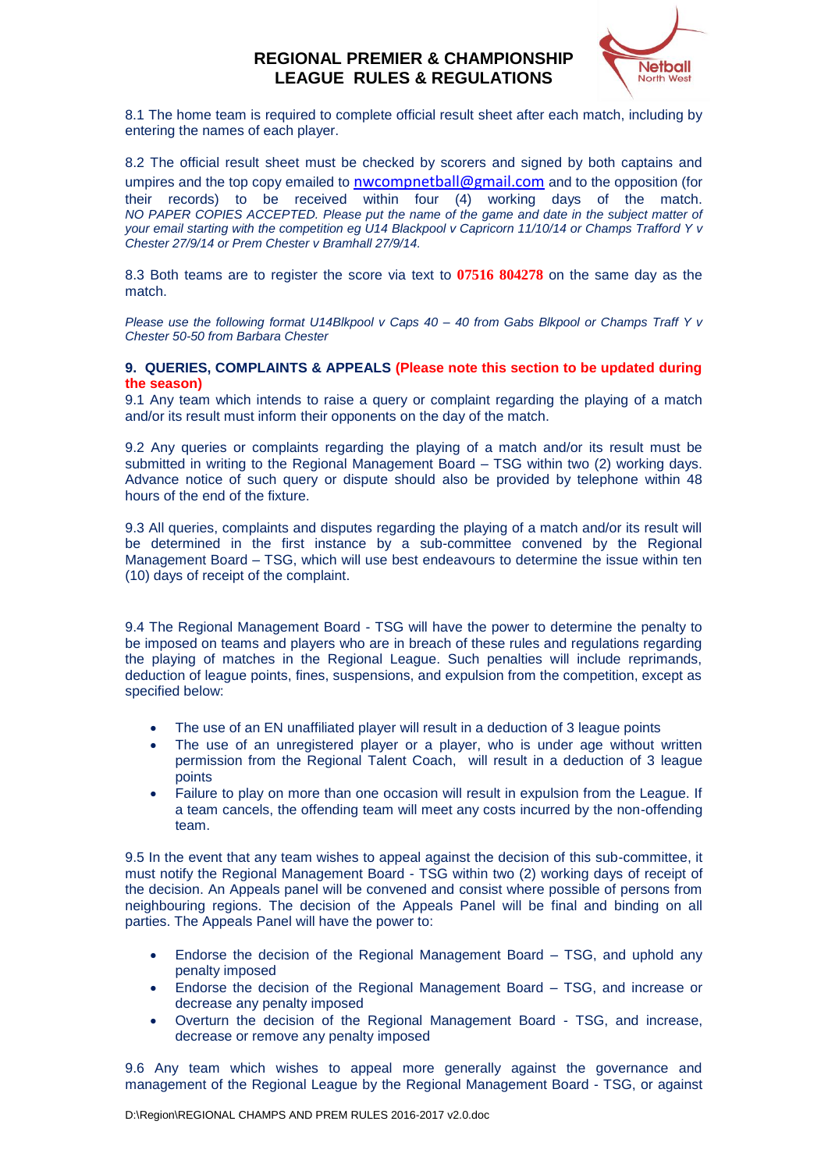

8.1 The home team is required to complete official result sheet after each match, including by entering the names of each player.

8.2 The official result sheet must be checked by scorers and signed by both captains and umpires and the top copy emailed to **[nwcompnetball@gmail.com](mailto:nwcompnetball@gmail.com)** and to the opposition (for their records) to be received within four (4) working days of the match. *NO PAPER COPIES ACCEPTED. Please put the name of the game and date in the subject matter of your email starting with the competition eg U14 Blackpool v Capricorn 11/10/14 or Champs Trafford Y v Chester 27/9/14 or Prem Chester v Bramhall 27/9/14.*

8.3 Both teams are to register the score via text to **07516 804278** on the same day as the match.

*Please use the following format U14Blkpool v Caps 40 – 40 from Gabs Blkpool or Champs Traff Y v Chester 50-50 from Barbara Chester*

#### **9. QUERIES, COMPLAINTS & APPEALS (Please note this section to be updated during the season)**

9.1 Any team which intends to raise a query or complaint regarding the playing of a match and/or its result must inform their opponents on the day of the match.

9.2 Any queries or complaints regarding the playing of a match and/or its result must be submitted in writing to the Regional Management Board – TSG within two (2) working days. Advance notice of such query or dispute should also be provided by telephone within 48 hours of the end of the fixture.

9.3 All queries, complaints and disputes regarding the playing of a match and/or its result will be determined in the first instance by a sub-committee convened by the Regional Management Board – TSG, which will use best endeavours to determine the issue within ten (10) days of receipt of the complaint.

9.4 The Regional Management Board - TSG will have the power to determine the penalty to be imposed on teams and players who are in breach of these rules and regulations regarding the playing of matches in the Regional League. Such penalties will include reprimands, deduction of league points, fines, suspensions, and expulsion from the competition, except as specified below:

- The use of an EN unaffiliated player will result in a deduction of 3 league points
- The use of an unregistered player or a player, who is under age without written permission from the Regional Talent Coach, will result in a deduction of 3 league points
- Failure to play on more than one occasion will result in expulsion from the League. If a team cancels, the offending team will meet any costs incurred by the non-offending team.

9.5 In the event that any team wishes to appeal against the decision of this sub-committee, it must notify the Regional Management Board - TSG within two (2) working days of receipt of the decision. An Appeals panel will be convened and consist where possible of persons from neighbouring regions. The decision of the Appeals Panel will be final and binding on all parties. The Appeals Panel will have the power to:

- Endorse the decision of the Regional Management Board TSG, and uphold any penalty imposed
- Endorse the decision of the Regional Management Board TSG, and increase or decrease any penalty imposed
- Overturn the decision of the Regional Management Board TSG, and increase, decrease or remove any penalty imposed

9.6 Any team which wishes to appeal more generally against the governance and management of the Regional League by the Regional Management Board - TSG, or against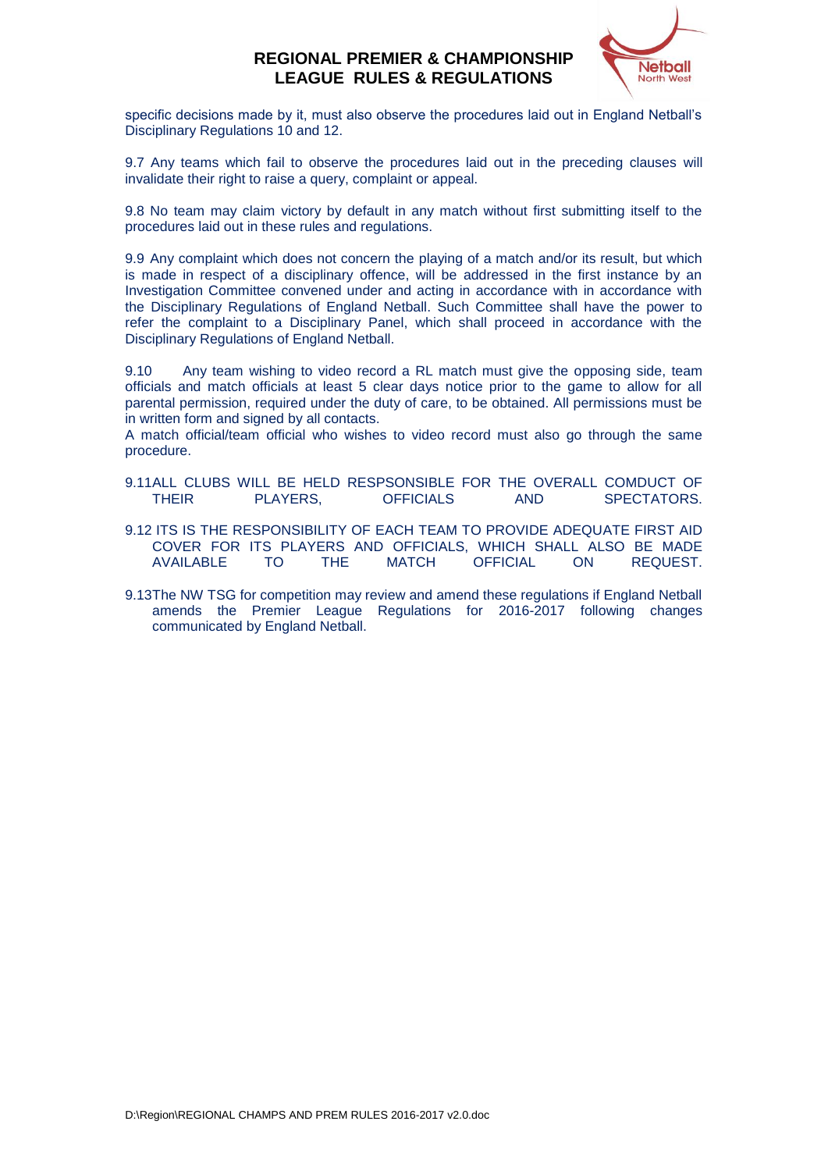

specific decisions made by it, must also observe the procedures laid out in England Netball's Disciplinary Regulations 10 and 12.

9.7 Any teams which fail to observe the procedures laid out in the preceding clauses will invalidate their right to raise a query, complaint or appeal.

9.8 No team may claim victory by default in any match without first submitting itself to the procedures laid out in these rules and regulations.

9.9 Any complaint which does not concern the playing of a match and/or its result, but which is made in respect of a disciplinary offence, will be addressed in the first instance by an Investigation Committee convened under and acting in accordance with in accordance with the Disciplinary Regulations of England Netball. Such Committee shall have the power to refer the complaint to a Disciplinary Panel, which shall proceed in accordance with the Disciplinary Regulations of England Netball.

9.10 Any team wishing to video record a RL match must give the opposing side, team officials and match officials at least 5 clear days notice prior to the game to allow for all parental permission, required under the duty of care, to be obtained. All permissions must be in written form and signed by all contacts.

A match official/team official who wishes to video record must also go through the same procedure.

- 9.11ALL CLUBS WILL BE HELD RESPSONSIBLE FOR THE OVERALL COMDUCT OF THEIR PLAYERS, OFFICIALS AND SPECTATORS.
- 9.12 ITS IS THE RESPONSIBILITY OF EACH TEAM TO PROVIDE ADEQUATE FIRST AID COVER FOR ITS PLAYERS AND OFFICIALS, WHICH SHALL ALSO BE MADE AVAILABLE TO THE MATCH OFFICIAL ON REQUEST.
- 9.13The NW TSG for competition may review and amend these regulations if England Netball amends the Premier League Regulations for 2016-2017 following changes communicated by England Netball.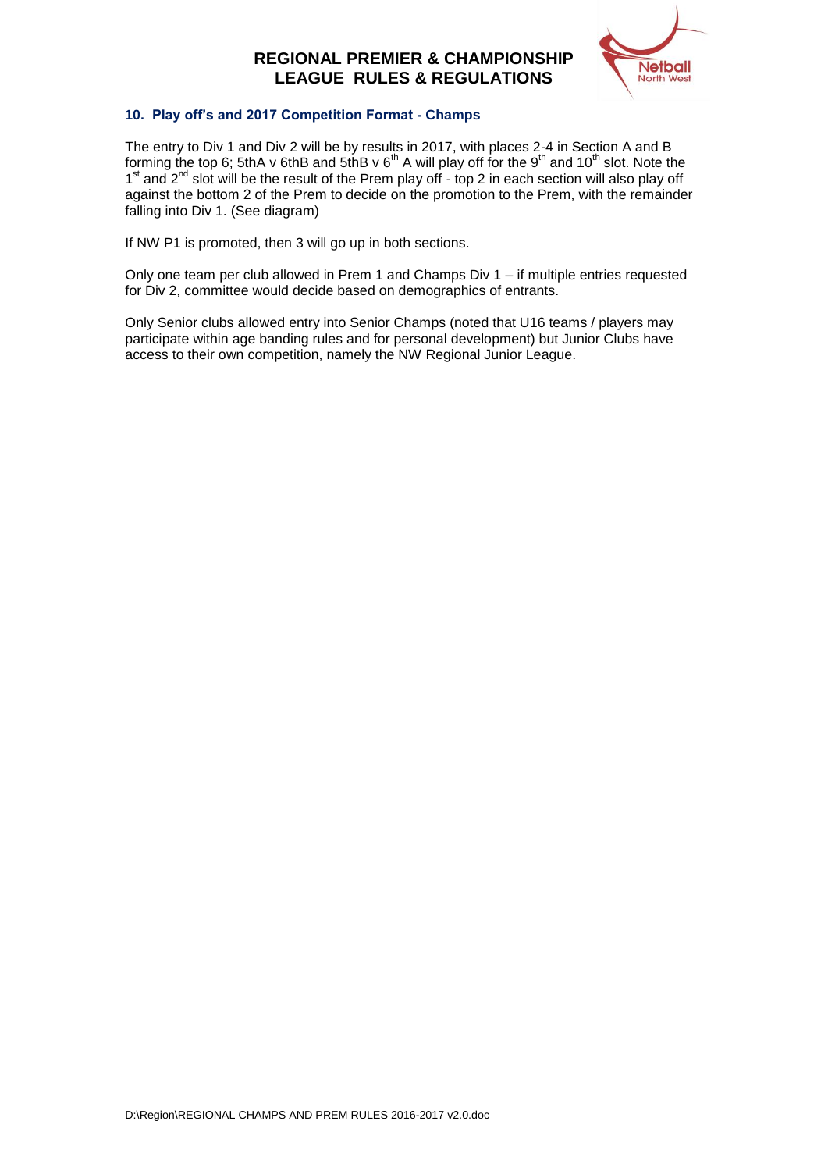

## **10. Play off's and 2017 Competition Format - Champs**

The entry to Div 1 and Div 2 will be by results in 2017, with places 2-4 in Section A and B forming the top 6; 5thA v 6thB and 5thB v  $6<sup>th</sup>$  A will play off for the 9<sup>th</sup> and 10<sup>th</sup> slot. Note the 1<sup>st</sup> and 2<sup>nd</sup> slot will be the result of the Prem play off - top 2 in each section will also play off against the bottom 2 of the Prem to decide on the promotion to the Prem, with the remainder falling into Div 1. (See diagram)

If NW P1 is promoted, then 3 will go up in both sections.

Only one team per club allowed in Prem 1 and Champs Div  $1 - if$  multiple entries requested for Div 2, committee would decide based on demographics of entrants.

Only Senior clubs allowed entry into Senior Champs (noted that U16 teams / players may participate within age banding rules and for personal development) but Junior Clubs have access to their own competition, namely the NW Regional Junior League.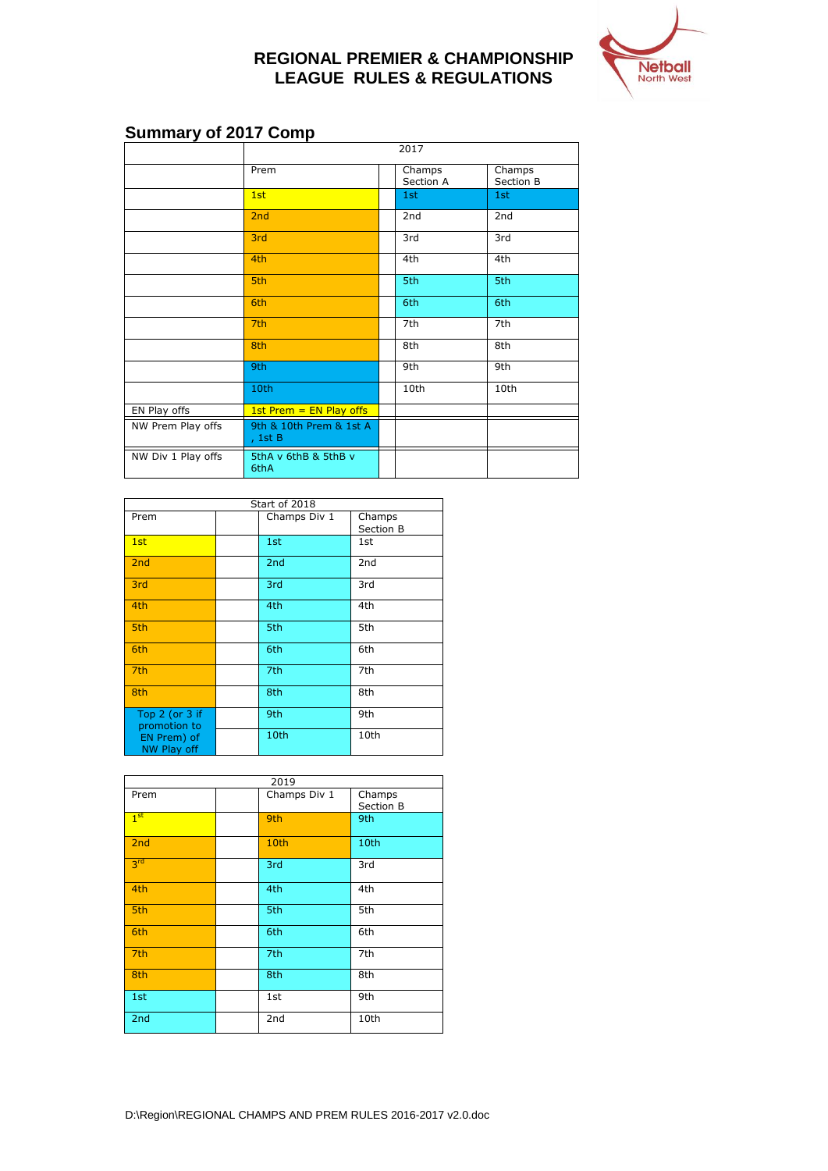

# **Summary of 2017 Comp**

|                    | 2017                               |  |                     |                     |
|--------------------|------------------------------------|--|---------------------|---------------------|
|                    | Prem                               |  | Champs<br>Section A | Champs<br>Section B |
|                    | 1st                                |  | 1st                 | 1st                 |
|                    | 2nd                                |  | 2nd                 | 2 <sub>nd</sub>     |
|                    | 3rd                                |  | 3rd                 | 3rd                 |
|                    | 4th                                |  | 4th                 | 4th                 |
|                    | 5th                                |  | 5th                 | 5th                 |
|                    | 6th                                |  | 6th                 | 6th                 |
|                    | 7th                                |  | 7th                 | 7th                 |
|                    | 8th                                |  | 8th                 | 8th                 |
|                    | 9th                                |  | 9th                 | 9th                 |
|                    | 10th                               |  | 10th                | 10th                |
| EN Play offs       | 1st Prem $=$ EN Play offs          |  |                     |                     |
| NW Prem Play offs  | 9th & 10th Prem & 1st A<br>, 1st B |  |                     |                     |
| NW Div 1 Play offs | 5thA v 6thB & 5thB v<br>6thA       |  |                     |                     |

| Start of 2018                                                           |  |                 |                     |
|-------------------------------------------------------------------------|--|-----------------|---------------------|
| Prem                                                                    |  | Champs Div 1    | Champs<br>Section B |
| 1st                                                                     |  | 1st             | 1st                 |
| 2nd                                                                     |  | 2 <sub>nd</sub> | 2nd                 |
| 3rd                                                                     |  | 3rd             | 3rd                 |
| 4th                                                                     |  | 4th             | 4th                 |
| 5th                                                                     |  | 5th             | 5th                 |
| 6th                                                                     |  | 6th             | 6th                 |
| 7 <sub>th</sub>                                                         |  | 7th             | 7th                 |
| 8th                                                                     |  | 8th             | 8th                 |
| Top $2$ (or $3$ if<br>promotion to<br>EN Prem) of<br><b>NW Play off</b> |  | 9th             | 9th                 |
|                                                                         |  | 10th            | 10th                |

| 2019            |  |              |                     |  |
|-----------------|--|--------------|---------------------|--|
| Prem            |  | Champs Div 1 | Champs<br>Section B |  |
| 1 <sup>st</sup> |  | 9th          | 9th                 |  |
| 2nd             |  | 10th         | 10th                |  |
| 3 <sup>rd</sup> |  | 3rd          | 3rd                 |  |
| 4th             |  | 4th          | 4th                 |  |
| 5th             |  | 5th          | 5th                 |  |
| 6th             |  | 6th          | 6th                 |  |
| 7th             |  | 7th          | 7th                 |  |
| 8th             |  | 8th          | 8th                 |  |
| 1st             |  | 1st          | 9th                 |  |
| 2nd             |  | 2nd          | 10th                |  |